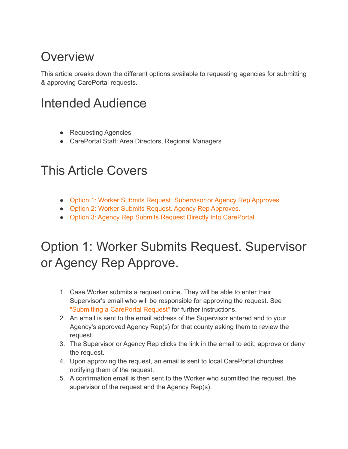#### **Overview**

This article breaks down the different options available to requesting agencies for submitting & approving CarePortal requests.

### Intended Audience

- Requesting Agencies
- CarePortal Staff: Area Directors, Regional Managers

#### This Article Covers

- Option 1: Worker Submits Request. [Supervisor](https://careportal.zendesk.com/hc/en-us/articles/360037648094?page=1#h_ffd4f99d-1025-4bd8-a8f2-5be5ee9300b4) or Agency Rep Approves.
- Option 2: Worker Submits Request. Agency Rep [Approves.](https://careportal.zendesk.com/hc/en-us/articles/360037648094?page=1#h_4127de67-09ea-4a3e-8baf-fa724fd6a990)
- Option 3: Agency Rep Submits Request Directly Into [CarePortal.](https://careportal.zendesk.com/hc/en-us/articles/360037648094?page=1#h_7ede6af6-005d-4a58-91b0-2c8c3a08bea5)

### Option 1: Worker Submits Request. Supervisor or Agency Rep Approve.

- 1. Case Worker submits a request online. They will be able to enter their Supervisor's email who will be responsible for approving the request. See ["Submitting](https://careportal.zendesk.com/hc/en-us/articles/360037551134) a CarePortal Request" for further instructions.
- 2. An email is sent to the email address of the Supervisor entered and to your Agency's approved Agency Rep(s) for that county asking them to review the request.
- 3. The Supervisor or Agency Rep clicks the link in the email to edit, approve or deny the request.
- 4. Upon approving the request, an email is sent to local CarePortal churches notifying them of the request.
- 5. A confirmation email is then sent to the Worker who submitted the request, the supervisor of the request and the Agency Rep(s).